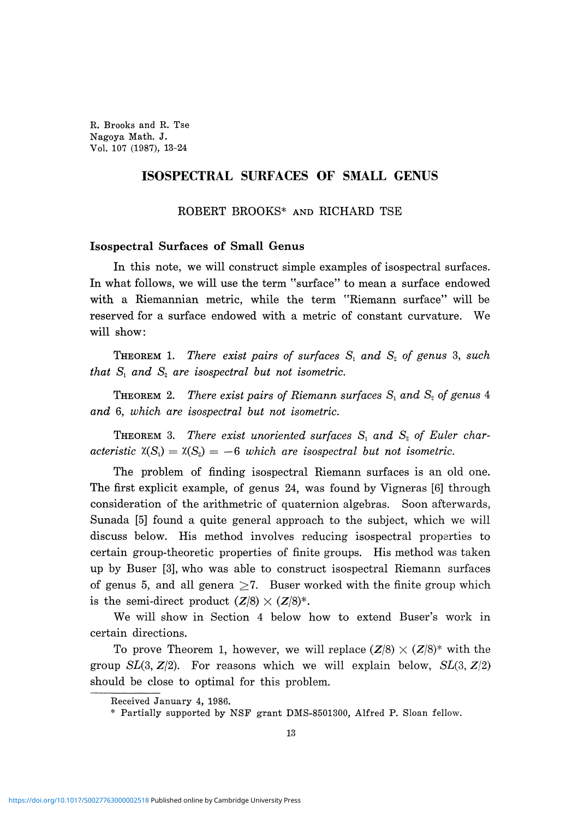R. Brooks and R. Tse Nagoya Math. J. Vol. 107 (1987), 13-24

# **ISOSPECTRAL SURFACES OF SMALL GENUS**

ROBERT BROOKS\* AND RICHARD TSE

# **Isospectral Surfaces of Small Genus**

**In** this note, we will construct simple examples of isospectral surfaces. In what follows, we will use the term "surface" to mean a surface endowed with a Riemannian metric, while the term "Riemann surface" will be reserved for a surface endowed with a metric of constant curvature. We will show:

THEOREM 1. *There exist pairs of surfaces Sx and S2 of genus* 3, *such that*  $S_1$  *and*  $S_2$  *are isospectral but not isometric.* 

THEOREM 2. *There exist pairs of Riemann surfaces S<sup>t</sup> and S2 of genus* 4 *and* 6, *which are isospectral but not isometric.*

THEOREM 3. *There exist unoriented surfaces Sx and S2 of Euler characteristic*  $\mathfrak{X}(S_1) = \mathfrak{X}(S_2) = -6$  which are isospectral but not isometric.

The problem of finding isospectral Riemann surfaces is an old one. The first explicit example, of genus 24, was found by Vigneras [6] through consideration of the arithmetric of quaternion algebras. Soon afterwards, Sunada [5] found a quite general approach to the subject, which we will discuss below. His method involves reducing isospectral properties to certain group-theoretic properties of finite groups. His method was taken up by Buser [3], who was able to construct isospectral Riemann surfaces of genus 5, and all genera  $\geq 7$ . Buser worked with the finite group which is the semi-direct product  $(Z/8) \times (Z/8)^*$ .

We will show in Section 4 below how to extend Buser's work in certain directions.

To prove Theorem 1, however, we will replace  $(Z/8) \times (Z/8)^*$  with the group  $SL(3, Z/2)$ . For reasons which we will explain below,  $SL(3, Z/2)$ should be close to optimal for this problem.

Received January 4, 1986.

<sup>\*</sup> Partially supported by NSF grant DMS-8501300, Alfred P. Sloan fellow.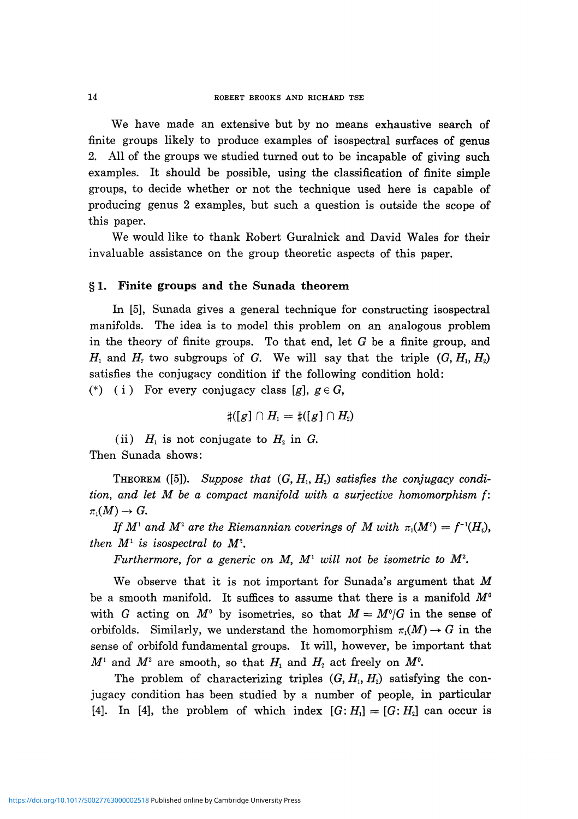We have made an extensive but by no means exhaustive search of finite groups likely to produce examples of isospectral surfaces of genus 2. All of the groups we studied turned out to be incapable of giving such examples. It should be possible, using the classification of finite simple groups, to decide whether or not the technique used here is capable of producing genus 2 examples, but such a question is outside the scope of this paper.

We would like to thank Robert Guralnick and David Wales for their invaluable assistance on the group theoretic aspects of this paper.

## § **1. Finite groups and the Sunada theorem**

In [5], Sunada gives a general technique for constructing isospectral manifolds. The idea is to model this problem on an analogous problem in the theory of finite groups. To that end, let  $G$  be a finite group, and  $H_1$  and  $H_2$  two subgroups of G. We will say that the triple  $(G, H_1, H_2)$ satisfies the conjugacy condition if the following condition hold: (\*) (i) For every conjugacy class [g],  $g \in G$ ,

 $H_{\scriptscriptstyle 2}$ 

(ii)  $H_1$  is not conjugate to  $H_2$  in  $G$ . Then Sunada shows:

 $\text{THEOREM (5J).}$  Suppose that  $(G, H_1, H_2)$  satisfies the conjugacy condi*tion, and let M be a compact manifold with a surjectiυe homomorphism f:*  $\pi_1(M) \to G$ .

*If*  $M^1$  and  $M^2$  are the Riemannian coverings of M with  $\pi_1(M^i) = f^{-1}(H_i)$ , *then*  $M^1$  *is isospectral to*  $M^2$ *.* 

*Furthermore, for a generic on M,*  $M$ *<sup>1</sup> will not be isometric to*  $M$ *<sup>2</sup>.* 

We observe that it is not important for Sunada's argument that *M* be a smooth manifold. It suffices to assume that there is a manifold *M°* with G acting on  $M^{\circ}$  by isometries, so that  $M = M^{\circ}/G$  in the sense of orbifolds. Similarly, we understand the homomorphism  $\pi_1(M) \to G$  in the sense of orbifold fundamental groups. It will, however, be important that  $M^1$  and  $M^2$  are smooth, so that  $H_1$  and  $H_2$  act freely on  $M^0$ .

The problem of characterizing triples  $(G, H_1, H_2)$  satisfying the con jugacy condition has been studied by a number of people, in particular [4]. In [4], the problem of which index  $[G:H_1] = [G:H_2]$  can occur is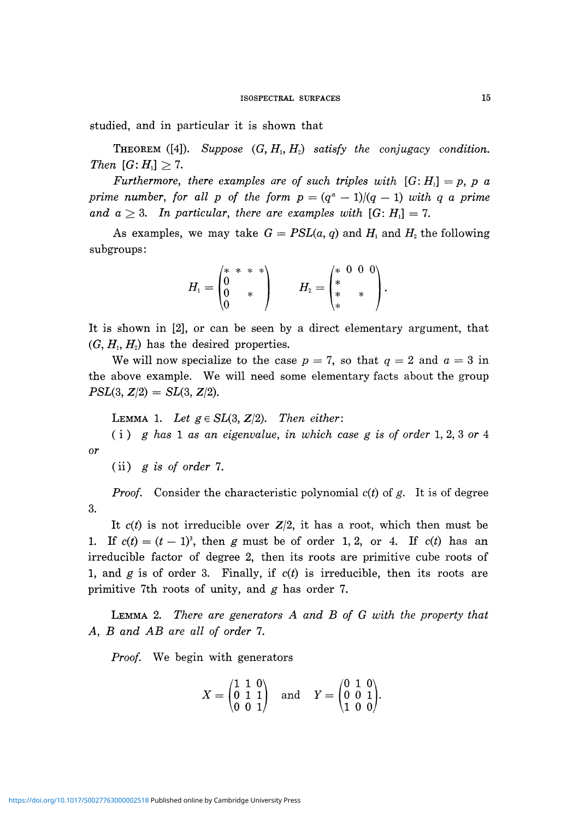studied, and in particular it is shown that

**THEOREM** ([4]). Suppose  $(G, H_1, H_2)$  satisfy the conjugacy condition. *Then*  $[G: H<sub>1</sub>] \geq 7$ .

*Furthermore, there examples are of such triples with*  $[G:H_1] = p$ , p a *prime number, for all p of the form*  $p = (q^a - 1)/(q - 1)$  *with q a prime* and  $a \geq 3$ . In particular, there are examples with  $[G: H_1] = 7$ .

As examples, we may take  $G = PSL(a, q)$  and  $H_i$  and  $H_2$  the following subgroups:

$$
H_1 = \begin{pmatrix} * & * & * & * \\ 0 & & * & \\ 0 & & * & \\ 0 & & * & \end{pmatrix} \qquad H_2 = \begin{pmatrix} * & 0 & 0 & 0 \\ * & & * & \\ * & & * & \\ * & & * & \end{pmatrix}.
$$

It is shown in [2], or can be seen by a direct elementary argument, that  $(G, H_1, H_2)$  has the desired properties.

*H<sub>2</sub>* has the desired properties. We will now specialize to the case  $p = t$ , so that  $q = 2$  and  $a = 3$  in the above example. We will need some elementary facts about the group  $PSL(3, Z/2) = SL(3, Z/2).$ 

LEMMA 1. Let  $g \in SL(3, Z/2)$ . Then either:

( i ) *g has* 1 *as an eigenvalue, in which case g is of order* 1, 2, 3 or 4 *or*

(ii) *g is of order* 7.

*Proof.* Consider the characteristic polynomial *c(t)* of *g.* It is of degree 3.

It  $c(t)$  is not irreducible over  $Z/2$ , it has a root, which then must be 1. If  $c(t) = (t-1)^3$ , then g must be of order 1, 2, or 4. If  $c(t)$  has an irreducible factor of degree 2, then its roots are primitive cube roots of 1, and *g* is of order 3. Finally, if *c(t)* is irreducible, then its roots are primitive 7th roots of unity, and *g* has order 7.

LEMMA 2. *There are generators A and B of G with the property that A, B and AB are all of order* 7.

*Proof.* We begin with generators

$$
X = \begin{pmatrix} 1 & 1 & 0 \\ 0 & 1 & 1 \\ 0 & 0 & 1 \end{pmatrix} \text{ and } Y = \begin{pmatrix} 0 & 1 & 0 \\ 0 & 0 & 1 \\ 1 & 0 & 0 \end{pmatrix}.
$$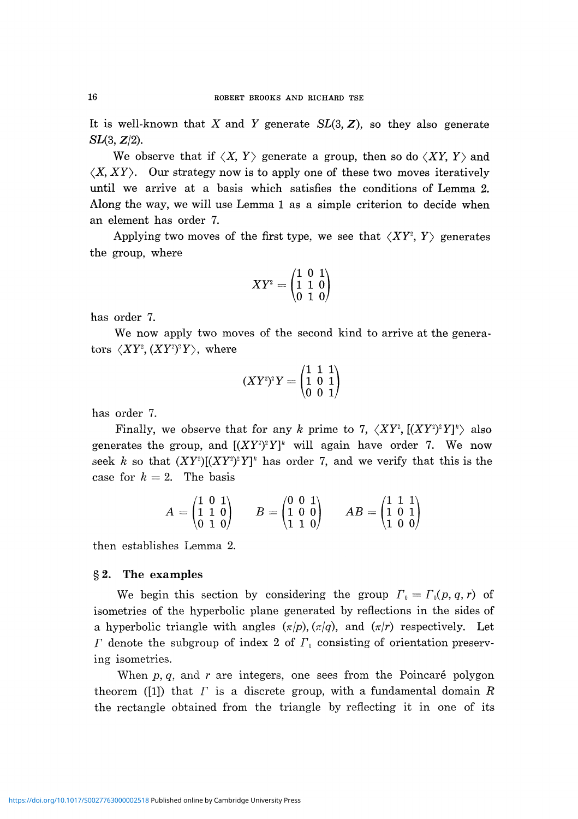It is well-known that *X* and *Y* generate *SL(3,* Z), so they also generate  $SL(3, Z/2)$ .

We observe that if  $\langle X, Y \rangle$  generate a group, then so do  $\langle XY, Y \rangle$  and  $\langle X, XY \rangle$ . Our strategy now is to apply one of these two moves iteratively until we arrive at a basis which satisfies the conditions of Lemma 2. Along the way, we will use Lemma 1 as a simple criterion to decide when an element has order 7.

Applying two moves of the first type, we see that  $\langle XY^2, Y \rangle$  generates the group, where

$$
XY^{\scriptscriptstyle 2}=\begin{pmatrix} 1 & 0 & 1 \\ 1 & 1 & 0 \\ 0 & 1 & 0 \end{pmatrix}
$$

has order 7.

We now apply two moves of the second kind to arrive at the genera- $\langle XY^{\scriptscriptstyle 2}, (XY^{\scriptscriptstyle 2})^{\scriptscriptstyle 2} Y \rangle, \,\, \text{where}$ 

$$
(XY^{\scriptscriptstyle 2})^{\scriptscriptstyle 2} Y = \begin{pmatrix} 1 & 1 & 1 \\ 1 & 0 & 1 \\ 0 & 0 & 1 \end{pmatrix}
$$

has order 7.

Finally, we observe that for any *k* prime to 7,  $\langle XY^2, [(XY^2)^2Y]^2 \rangle$  also generates the group, and  $[(XY^2)^2 Y]^k$  will again have order 7. We now seek *k* so that  $(XY^2)[(XY^2)^2 Y]^k$  has order 7, and we verify that this is the case for  $k = 2$ . The basis

$$
A = \begin{pmatrix} 1 & 0 & 1 \\ 1 & 1 & 0 \\ 0 & 1 & 0 \end{pmatrix} \qquad B = \begin{pmatrix} 0 & 0 & 1 \\ 1 & 0 & 0 \\ 1 & 1 & 0 \end{pmatrix} \qquad AB = \begin{pmatrix} 1 & 1 & 1 \\ 1 & 0 & 1 \\ 1 & 0 & 0 \end{pmatrix}
$$

then establishes Lemma 2.

#### §2, The examples

We begin this section by considering the group  $\Gamma_0 = \Gamma_0(p, q, r)$  of isometries of the hyperbolic plane generated by reflections in the sides of a hyperbolic triangle with angles *(πjp), (π/q),* and *(π/r)* respectively. Let denote the subgroup of index 2 of *Γ<sup>o</sup>* consisting of orientation preserv ing isometries.

When p, q, and r are integers, one sees from the Poincaré polygon theorem ([1]) that *Γ* is a discrete group, with a fundamental domain *R* the rectangle obtained from the triangle by reflecting it in one of its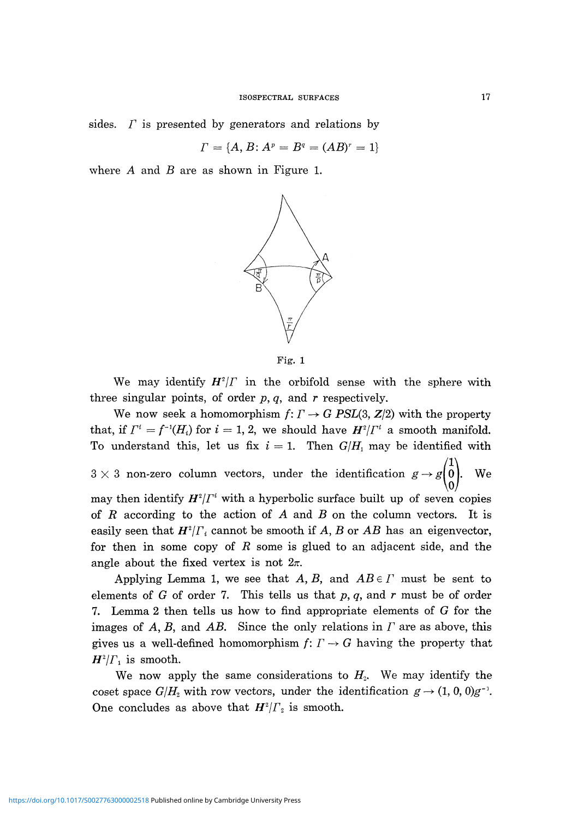sides. *Γ* is presented by generators and relations by

$$
\Gamma = \{A, B : A^p = B^q = (AB)^r = 1\}
$$

where A and *B* are as shown in Figure 1.



Fig. 1

We may identify  $H^2/\Gamma$  in the orbifold sense with the sphere with three singular points, of order *p, q,* and *r* respectively.

We now seek a homomorphism  $f: \Gamma \to G$  *PSL*(3,  $\mathbb{Z}/2$ ) with the property that, if  $\Gamma^i = f^{-i}(H_i)$  for  $i = 1, 2$ , we should have  $H^i/\Gamma^i$  a smooth manifold. To understand this, let us fix  $i = 1$ . Then  $G/H_1$  may be identified with  $3 \times 3$  non-zero column vectors, under the identification  $g \rightarrow g \begin{pmatrix} 1 \\ 0 \\ 0 \end{pmatrix}$ . We may then identify  $H^2/\Gamma^i$  with a hyperbolic surface built up of seven copies of *R* according to the action of A and *B* on the column vectors. It is easily seen that  $H^2/\Gamma_i$  cannot be smooth if  $A, B$  or  $AB$  has an eigenvector, for then in some copy of *R* some is glued to an adjacent side, and the angle about the fixed vertex is not  $2\pi$ .

Applying Lemma 1, we see that A, *B,* and *AB e Γ* must be sent to elements of *G* of order 7. This tells us that *p, q,* and *r* must be of order 7. Lemma 2 then tells us how to find appropriate elements of *G* for the images of A, *B,* and *AB.* Since the only relations in *Γ* are as above, this gives us a well-defined homomorphism  $f: \Gamma \to G$  having the property that  $H^2/\Gamma_1$  is smooth.

We now apply the same considerations to  $H_2$ . We may identify the coset space  $G/H_2$  with row vectors, under the identification  $g \to (1, 0, 0)$ One concludes as above that  $H^2/\Gamma$ <sup>2</sup> is smooth.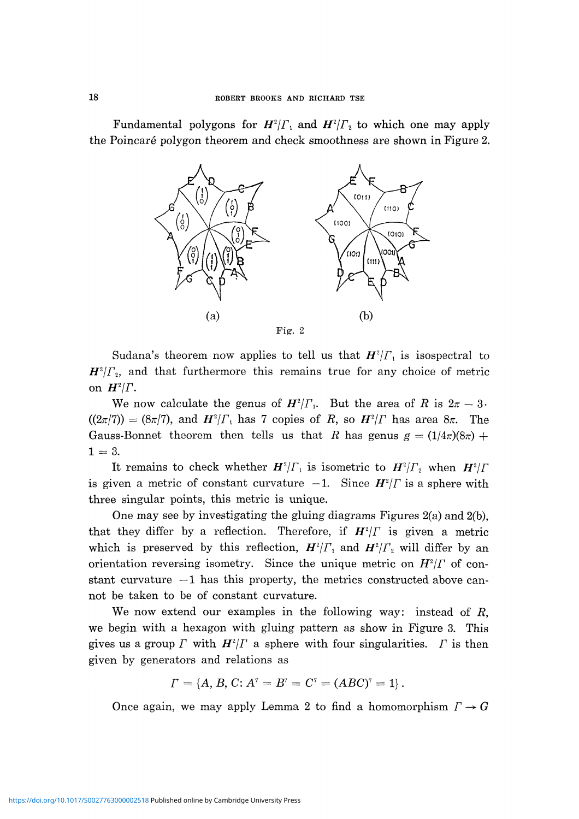Fundamental polygons for  $H^2/\Gamma_1$  and  $H^2/\Gamma_2$  to which one may apply the Poincaré polygon theorem and check smoothness are shown in Figure 2.



Fig. 2

Sudana's theorem now applies to tell us that  $H^2/\Gamma_1$  is isospectral to *H 2 IΓ<sup>2</sup> ,* and that furthermore this remains true for any choice of metric on  $H^2/\Gamma$ .

We now calculate the genus of  $H^2/\Gamma_1$ . But the area of R is  $2\pi - 3$  $((2\pi/7)) = (8\pi/7)$ , and  $H^2/\Gamma_1$  has 7 copies of R, so  $H^2/\Gamma$  has area  $8\pi$ . The Gauss-Bonnet theorem then tells us that R has genus  $g = (1/4\pi)(8\pi) +$  $1 = 3$ .

It remains to check whether  $H^2/\Gamma_1$  is isometric to  $H^2/\Gamma_2$  when  $H^2/\Gamma_1$ is given a metric of constant curvature  $-1$ . Since  $H^2/\Gamma$  is a sphere with three singular points, this metric is unique.

One may see by investigating the gluing diagrams Figures 2(a) and 2(b), that they differ by a reflection. Therefore, if  $H^2/\Gamma$  is given a metric which is preserved by this reflection,  $H^2/\Gamma_1$  and  $H^2/\Gamma_2$  will differ by an orientation reversing isometry. Since the unique metric on *H<sup>2</sup> jΓ* of con stant curvature  $-1$  has this property, the metrics constructed above cannot be taken to be of constant curvature.

We now extend our examples in the following way: instead of *R,* we begin with a hexagon with gluing pattern as show in Figure 3. This gives us a group  $\Gamma$  with  $H^2/\Gamma$  a sphere with four singularities.  $\Gamma$  is then given by generators and relations as

$$
\Gamma = \{A, B, C : A^{\dagger} = B^{\dagger} = C^{\dagger} = (ABC)^{\dagger} = 1\}.
$$

Once again, we may apply Lemma 2 to find a homomorphism  $\Gamma \rightarrow G$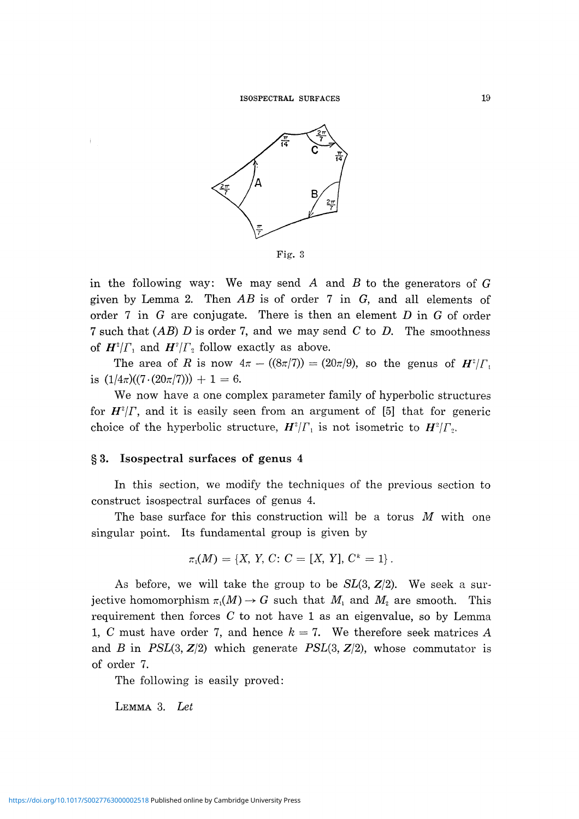

Fig. 3

in the following way: We may send *A* and *B* to the generators of G given by Lemma 2. Then *AB* is of order 7 in G, and all elements of order 7 in G are conjugate. There is then an element *D* in G of order 7 such that *(AB) D* is order 7, and we may send *C* to *D.* The smoothness of  $H^2/\Gamma_1$  and  $H^2/\Gamma_2$  follow exactly as above.

The area of *R* is now  $4\pi - ((8\pi/7)) = (20\pi/9)$ , so the genus of  $H^2/\Gamma_1$ is  $(1/4\pi)((7 \cdot (20\pi/7))) + 1 = 6$ .

We now have a one complex parameter family of hyperbolic structures for  $H^2/\Gamma$ , and it is easily seen from an argument of [5] that for generic choice of the hyperbolic structure,  $H^2/\Gamma_1$  is not isometric to  $H^2/\Gamma_2$ 

### § 3. Isospectral surfaces of genus 4

In this section, we modify the techniques of the previous section to construct isospectral surfaces of genus 4.

The base surface for this construction will be a torus *M* with one singular point. Its fundamental group is given by

$$
\pi_1(M) = \{X, Y, C: C = [X, Y], C^k = 1\}.
$$

As before, we will take the group to be  $SL(3, Z/2)$ . We seek a surjective homomorphism  $\pi_1(M) \to G$  such that  $M_1$  and  $M_2$  are smooth. This requirement then forces *C* to not have 1 as an eigenvalue, so by Lemma 1, *C* must have order 7, and hence *k* = 7. We therefore seek matrices A and B in  $PSL(3, Z/2)$  which generate  $PSL(3, Z/2)$ , whose commutator is of order 7.

The following is easily proved:

LEMMA 3. *Let*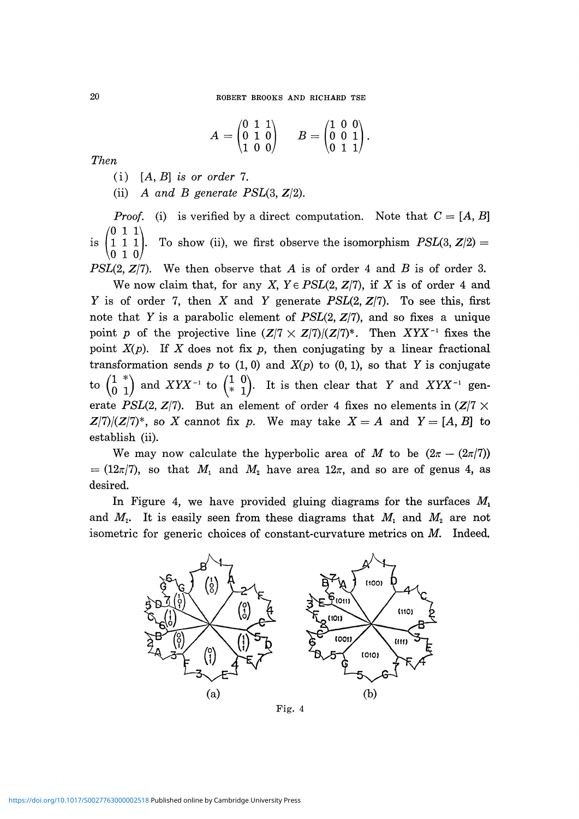$$
A = \begin{pmatrix} 0 & 1 & 1 \\ 0 & 1 & 0 \\ 1 & 0 & 0 \end{pmatrix} \qquad B = \begin{pmatrix} 1 & 0 & 0 \\ 0 & 0 & 1 \\ 0 & 1 & 1 \end{pmatrix}.
$$

*Then*

(i) [A, B] is *or order* 7.

(ii) A and β *generate PSL(3,* Z/2).

*Proof.* (i) is verified by a direct computation. Note that  $C = [A, B]$  $(0 \ 1 \ 1)$ is  $\left(1\ 1\ 1\right)$ . To show (ii), we first observe the isomorphism  $PSL(3, Z/2) =$  $\begin{pmatrix} 1 & 1 & 1 \\ 0 & 1 & 0 \end{pmatrix}$ 

*PSL(2,* Z/7). We then observe that A is of order 4 and *B* is of order 3. We now claim that, for any *X, Ye PSL(2,* Z/7), if *X* is of order 4 and *Y* is of order 7, then X and *Y* generate *PSL(2,* Z/7). To see this, first note that Y is a parabolic element of *PSL(2,* Z/7), and so fixes a unique point p of the projective line  $(Z/7 \times Z/7)/(Z/7)^*$ . Then  $XYX^{-1}$  fixes the point *X(p).* If X does not fix *p,* then conjugating by a linear fractional transformation sends  $p$  to  $(1, 0)$  and  $X(p)$  to  $(0, 1)$ , so that Y is conjugate to  $\begin{pmatrix} 1 & * \\ 0 & 1 \end{pmatrix}$  and  $XYX^{-1}$  to  $\begin{pmatrix} 1 & 0 \\ * & 1 \end{pmatrix}$ . It is then clear that Y and  $XYX^{-1}$  gen erate *PSL(2, Z/7)*. But an element of order 4 fixes no elements in  $(Z/7 \times$  $Z(7)/(Z(7)^*)$ , so X cannot fix p. We may take  $X = A$  and  $Y = [A, B]$  to establish (ii).

We may now calculate the hyperbolic area of M to be  $(2\pi - (2\pi/7))$  $=(12\pi/7)$ , so that  $M_1$  and  $M_2$  have area  $12\pi$ , and so are of genus 4, as desired.

In Figure 4, we have provided gluing diagrams for the surfaces *M<sup>x</sup>* and  $M_2$ . It is easily seen from these diagrams that  $M_1$  and  $M_2$  are not isometric for generic choices of constant-curvature metrics on *M.* Indeed,



Fig. 4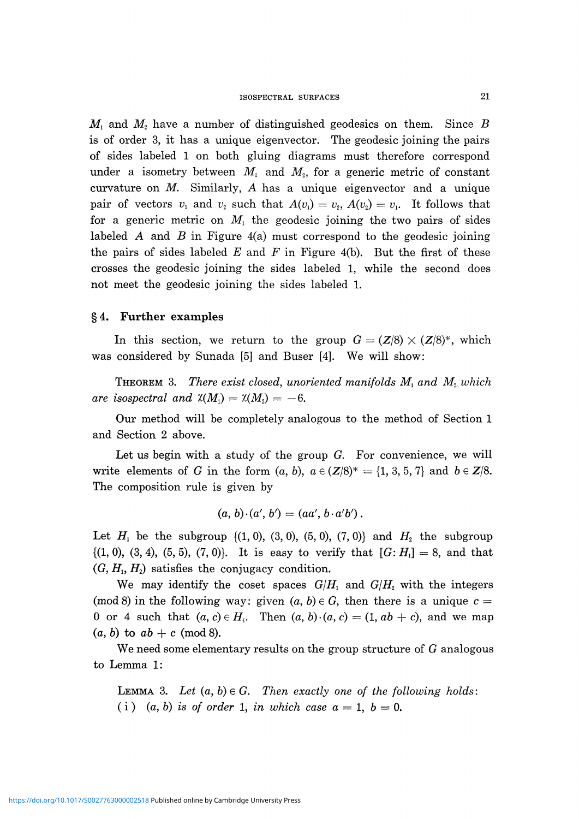$M_1$  and  $M_2$  have a number of distinguished geodesics on them. Since  $B$ is of order 3, it has a unique eigenvector. The geodesic joining the pairs of sides labeled 1 on both gluing diagrams must therefore correspond under a isometry between  $M_1$  and  $M_2$ , for a generic metric of constant curvature on *M.* Similarly, *A* has a unique eigenvector and a unique  $\text{pair of vectors } v_1 \text{ and } v_2 \text{ such that } A(v_1) = v_2, A(v_2) = v_1.$  It follows that for a generic metric on  $M_1$  the geodesic joining the two pairs of sides labeled *A* and *B* in Figure 4(a) must correspond to the geodesic joining the pairs of sides labeled *E* and *F* in Figure 4(b). But the first of these crosses the geodesic joining the sides labeled 1, while the second does not meet the geodesic joining the sides labeled 1.

# § 4. Further examples

In this section, we return to the group  $G = (\mathbb{Z}/8) \times (\mathbb{Z}/8)^*$ , which was considered by Sunada [5] and Buser [4]. We will show:

 $\Gamma$ **HEOREM** 3. There exist closed, unoriented manifolds  $M$ <sup>1</sup> and  $M$ <sup>2</sup> which *are isospectral and*  $\chi(M_1) = \chi(M_2) = -6.$ 

Our method will be completely analogous to the method of Section 1 and Section 2 above.

Let us begin with a study of the group  $G$ . For convenience, we will write elements of *G* in the form  $(a, b)$ ,  $a \in (\mathbb{Z}/8)^* = \{1, 3, 5, 7\}$  and  $b \in \mathbb{Z}/8$ . The composition rule is given by

$$
(a, b) \cdot (a', b') = (aa', b \cdot a'b').
$$

Let  $H_1$  be the subgroup  $\{(1, 0), (3, 0), (5, 0), (7, 0)\}$  and  $H_2$  the subgroup {(1, 0), (3, 4), (5, 5), (7, 0)}. It is easy to verify that *[G: H,] =* 8, and that  $(G, H<sub>1</sub>, H<sub>2</sub>)$  satisfies the conjugacy condition.

We may identify the coset spaces  $G/H_1$  and  $G/H_2$  with the integers (mod 8) in the following way: given  $(a, b) \in G$ , then there is a unique  $c =$ 0 or 4 such that  $(a, c) \in H<sub>i</sub>$ . Then  $(a, b) \cdot (a, c) = (1, ab + c)$ , and we map  $(a, b)$  to  $ab + c \pmod{8}$ .

We need some elementary results on the group structure of  $G$  analogous to Lemma 1:

LEMMA 3. Let  $(a, b) \in G$ . Then exactly one of the following holds: (i)  $(a, b)$  is of order 1, in which case  $a = 1$ ,  $b = 0$ .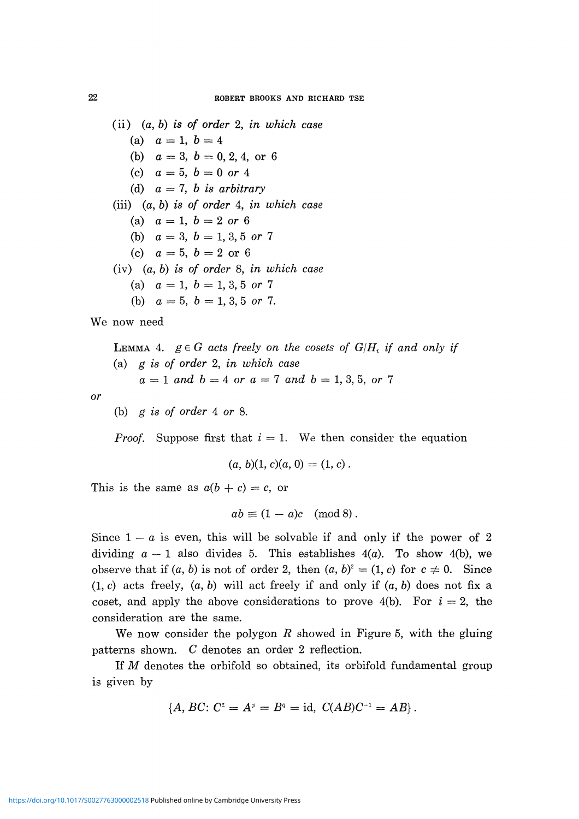(ii) (α, *b) is of order* 2, *in which case* (a)  $a = 1, b = 4$ (b)  $a = 3, b = 0, 2, 4,$  or 6 (c)  $a = 5, b = 0$  or 4 (d) *a = 7, b is arbitrary* (iii) (α, 6) is o/ order 4, in *which case* (a)  $a = 1, b = 2 \text{ or } 6$ (b)  $a = 3, b = 1, 3, 5 \text{ or } 7$ (c)  $a = 5, b = 2 \text{ or } 6$ (iv) (α, 6) is o/ order 8, *in which case* (a)  $a = 1, b = 1, 3, 5 \text{ or } 7$ (b)  $a = 5, b = 1, 3, 5 \text{ or } 7.$ 

We now need

 $\tt LEMMA$  4.  $g \in G$  acts freely on the cosets of  $G/H_{i}$  if and only if (a) *g is of order* 2, *in which case*  $a = 1$  and  $b = 4$  or  $a = 7$  and  $b = 1, 3, 5$ , or 7

or

(b)  $g$  is of order 4 or 8.

*Proof.* Suppose first that  $i = 1$ . We then consider the equation

$$
(a, b)(1, c)(a, 0) = (1, c).
$$

This is the same as  $a(b + c) = c$ , or

$$
ab \equiv (1 - a)c \pmod{8}.
$$

Since  $1 - a$  is even, this will be solvable if and only if the power of 2 dividing  $a - 1$  also divides 5. This establishes  $4(a)$ . To show  $4(b)$ , we observe that if  $(a, b)$  is not of order 2, then  $(a, b)^2 = (1, c)$  for  $c \neq 0$ . Since (1, c) acts freely, (α, *b)* will act freely if and only if *(a, b)* does not fix a coset, and apply the above considerations to prove 4(b). For  $i = 2$ , the consideration are the same.

We now consider the polygon *R* showed in Figure 5, with the gluing patterns shown. *C* denotes an order 2 reflection.

If *M* denotes the orbifold so obtained, its orbifold fundamental group is given by

$$
\{A, BC: C^2 = A^p = B^q = id, C(AB)C^{-1} = AB\}.
$$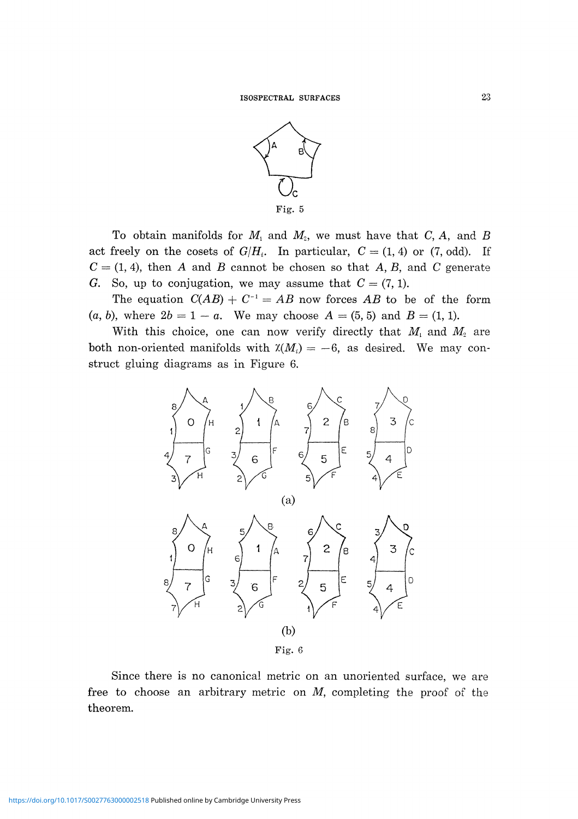

To obtain manifolds for  $M$ <sub>1</sub> and  $M$ <sub>2</sub>, we must have that  $C$ ,  $A$ , and  $B$ act freely on the cosets of  $G/H_i$ . In particular,  $C = (1, 4)$  or (7, odd). If  $C = (1, 4)$ , then A and B cannot be chosen so that A, B, and C generate G. So, up to conjugation, we may assume that  $C = (7, 1)$ .

The equation  $C(AB) + C^{-1} = AB$  now forces AB to be of the form *(a, b),* where  $2b = 1 - a$ . We may choose  $A = (5, 5)$  and  $B = (1, 1)$ .

With this choice, one can now verify directly that  $M_i$  and  $M_2$  are both non-oriented manifolds with  $X(M_i) = -6$ , as desired. We may con struct gluing diagrams as in Figure 6.



Since there is no canonical metric on an unoriented surface, we are free to choose an arbitrary metric on *M,* completing the proof of the theorem.